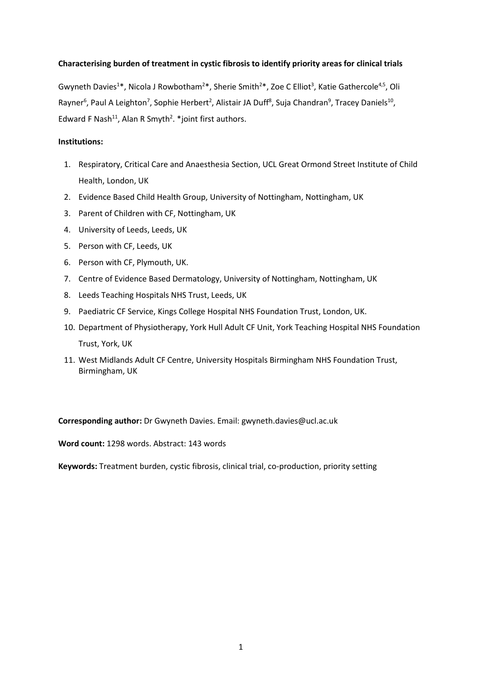### **Characterising burden of treatment in cystic fibrosis to identify priority areas for clinical trials**

Gwyneth Davies<sup>1\*</sup>, Nicola J Rowbotham<sup>2\*</sup>, Sherie Smith<sup>2\*</sup>, Zoe C Elliot<sup>3</sup>, Katie Gathercole<sup>4,5</sup>, Oli Rayner<sup>6</sup>, Paul A Leighton<sup>7</sup>, Sophie Herbert<sup>2</sup>, Alistair JA Duff<sup>8</sup>, Suja Chandran<sup>9</sup>, Tracey Daniels<sup>10</sup>, Edward F Nash<sup>11</sup>, Alan R Smyth<sup>2</sup>. \*joint first authors.

### **Institutions:**

- 1. Respiratory, Critical Care and Anaesthesia Section, UCL Great Ormond Street Institute of Child Health, London, UK
- 2. Evidence Based Child Health Group, University of Nottingham, Nottingham, UK
- 3. Parent of Children with CF, Nottingham, UK
- 4. University of Leeds, Leeds, UK
- 5. Person with CF, Leeds, UK
- 6. Person with CF, Plymouth, UK.
- 7. Centre of Evidence Based Dermatology, University of Nottingham, Nottingham, UK
- 8. Leeds Teaching Hospitals NHS Trust, Leeds, UK
- 9. Paediatric CF Service, Kings College Hospital NHS Foundation Trust, London, UK.
- 10. Department of Physiotherapy, York Hull Adult CF Unit, York Teaching Hospital NHS Foundation Trust, York, UK
- 11. West Midlands Adult CF Centre, University Hospitals Birmingham NHS Foundation Trust, Birmingham, UK

**Corresponding author:** Dr Gwyneth Davies. Email: gwyneth.davies@ucl.ac.uk

**Word count:** 1298 words. Abstract: 143 words

**Keywords:** Treatment burden, cystic fibrosis, clinical trial, co-production, priority setting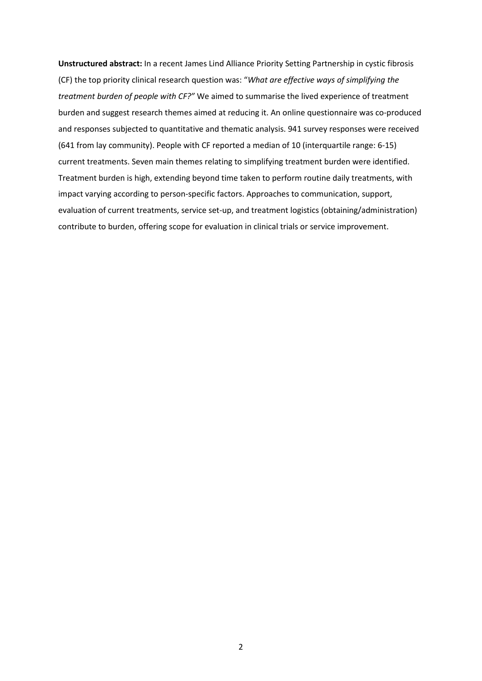**Unstructured abstract:** In a recent James Lind Alliance Priority Setting Partnership in cystic fibrosis (CF) the top priority clinical research question was: "*What are effective ways of simplifying the treatment burden of people with CF?"* We aimed to summarise the lived experience of treatment burden and suggest research themes aimed at reducing it. An online questionnaire was co-produced and responses subjected to quantitative and thematic analysis. 941 survey responses were received (641 from lay community). People with CF reported a median of 10 (interquartile range: 6-15) current treatments. Seven main themes relating to simplifying treatment burden were identified. Treatment burden is high, extending beyond time taken to perform routine daily treatments, with impact varying according to person-specific factors. Approaches to communication, support, evaluation of current treatments, service set-up, and treatment logistics (obtaining/administration) contribute to burden, offering scope for evaluation in clinical trials or service improvement.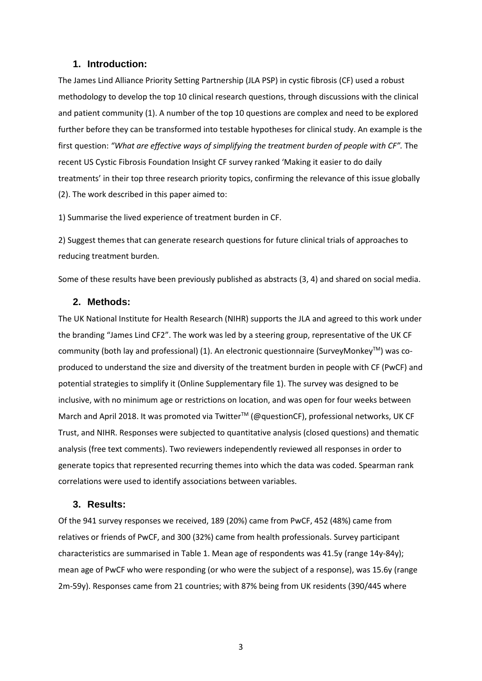#### **1. Introduction:**

The James Lind Alliance Priority Setting Partnership (JLA PSP) in cystic fibrosis (CF) used a robust methodology to develop the top 10 clinical research questions, through discussions with the clinical and patient community (1). A number of the top 10 questions are complex and need to be explored further before they can be transformed into testable hypotheses for clinical study. An example is the first question: *"What are effective ways of simplifying the treatment burden of people with CF".* The recent US Cystic Fibrosis Foundation Insight CF survey ranked 'Making it easier to do daily treatments' in their top three research priority topics, confirming the relevance of this issue globally (2). The work described in this paper aimed to:

1) Summarise the lived experience of treatment burden in CF.

2) Suggest themes that can generate research questions for future clinical trials of approaches to reducing treatment burden.

Some of these results have been previously published as abstracts (3, 4) and shared on social media.

#### **2. Methods:**

The UK National Institute for Health Research (NIHR) supports the JLA and agreed to this work under the branding "James Lind CF2". The work was led by a steering group, representative of the UK CF community (both lay and professional) (1). An electronic questionnaire (SurveyMonkeyTM) was coproduced to understand the size and diversity of the treatment burden in people with CF (PwCF) and potential strategies to simplify it (Online Supplementary file 1). The survey was designed to be inclusive, with no minimum age or restrictions on location, and was open for four weeks between March and April 2018. It was promoted via Twitter™ (@questionCF), professional networks, UK CF Trust, and NIHR. Responses were subjected to quantitative analysis (closed questions) and thematic analysis (free text comments). Two reviewers independently reviewed all responses in order to generate topics that represented recurring themes into which the data was coded. Spearman rank correlations were used to identify associations between variables.

#### **3. Results:**

Of the 941 survey responses we received, 189 (20%) came from PwCF, 452 (48%) came from relatives or friends of PwCF, and 300 (32%) came from health professionals. Survey participant characteristics are summarised in Table 1. Mean age of respondents was 41.5y (range 14y-84y); mean age of PwCF who were responding (or who were the subject of a response), was 15.6y (range 2m-59y). Responses came from 21 countries; with 87% being from UK residents (390/445 where

3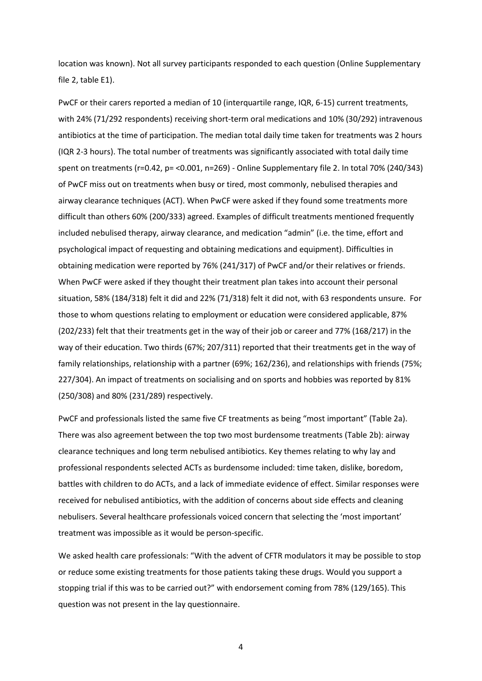location was known). Not all survey participants responded to each question (Online Supplementary file 2, table E1).

PwCF or their carers reported a median of 10 (interquartile range, IQR, 6-15) current treatments, with 24% (71/292 respondents) receiving short-term oral medications and 10% (30/292) intravenous antibiotics at the time of participation. The median total daily time taken for treatments was 2 hours (IQR 2-3 hours). The total number of treatments was significantly associated with total daily time spent on treatments (r=0.42, p= <0.001, n=269) - Online Supplementary file 2. In total 70% (240/343) of PwCF miss out on treatments when busy or tired, most commonly, nebulised therapies and airway clearance techniques (ACT). When PwCF were asked if they found some treatments more difficult than others 60% (200/333) agreed. Examples of difficult treatments mentioned frequently included nebulised therapy, airway clearance, and medication "admin" (i.e. the time, effort and psychological impact of requesting and obtaining medications and equipment). Difficulties in obtaining medication were reported by 76% (241/317) of PwCF and/or their relatives or friends. When PwCF were asked if they thought their treatment plan takes into account their personal situation, 58% (184/318) felt it did and 22% (71/318) felt it did not, with 63 respondents unsure. For those to whom questions relating to employment or education were considered applicable, 87% (202/233) felt that their treatments get in the way of their job or career and 77% (168/217) in the way of their education. Two thirds (67%; 207/311) reported that their treatments get in the way of family relationships, relationship with a partner (69%; 162/236), and relationships with friends (75%; 227/304). An impact of treatments on socialising and on sports and hobbies was reported by 81% (250/308) and 80% (231/289) respectively.

PwCF and professionals listed the same five CF treatments as being "most important" (Table 2a). There was also agreement between the top two most burdensome treatments (Table 2b): airway clearance techniques and long term nebulised antibiotics. Key themes relating to why lay and professional respondents selected ACTs as burdensome included: time taken, dislike, boredom, battles with children to do ACTs, and a lack of immediate evidence of effect. Similar responses were received for nebulised antibiotics, with the addition of concerns about side effects and cleaning nebulisers. Several healthcare professionals voiced concern that selecting the 'most important' treatment was impossible as it would be person-specific.

We asked health care professionals: "With the advent of CFTR modulators it may be possible to stop or reduce some existing treatments for those patients taking these drugs. Would you support a stopping trial if this was to be carried out?" with endorsement coming from 78% (129/165). This question was not present in the lay questionnaire.

4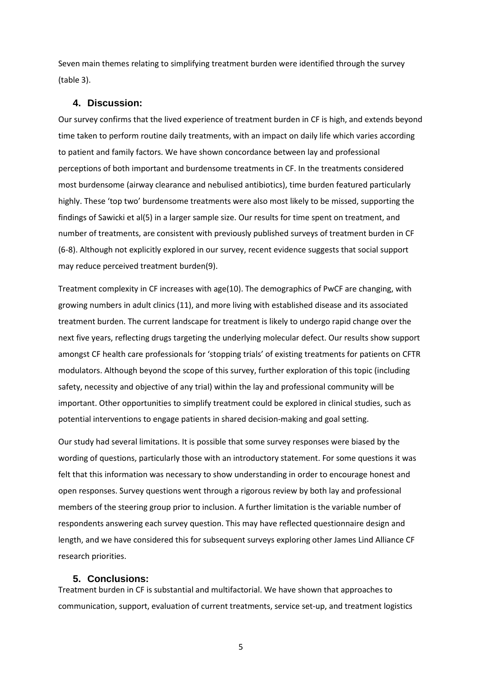Seven main themes relating to simplifying treatment burden were identified through the survey (table 3).

#### **4. Discussion:**

Our survey confirms that the lived experience of treatment burden in CF is high, and extends beyond time taken to perform routine daily treatments, with an impact on daily life which varies according to patient and family factors. We have shown concordance between lay and professional perceptions of both important and burdensome treatments in CF. In the treatments considered most burdensome (airway clearance and nebulised antibiotics), time burden featured particularly highly. These 'top two' burdensome treatments were also most likely to be missed, supporting the findings of Sawicki et al(5) in a larger sample size. Our results for time spent on treatment, and number of treatments, are consistent with previously published surveys of treatment burden in CF (6-8). Although not explicitly explored in our survey, recent evidence suggests that social support may reduce perceived treatment burden(9).

Treatment complexity in CF increases with age(10). The demographics of PwCF are changing, with growing numbers in adult clinics (11), and more living with established disease and its associated treatment burden. The current landscape for treatment is likely to undergo rapid change over the next five years, reflecting drugs targeting the underlying molecular defect. Our results show support amongst CF health care professionals for 'stopping trials' of existing treatments for patients on CFTR modulators. Although beyond the scope of this survey, further exploration of this topic (including safety, necessity and objective of any trial) within the lay and professional community will be important. Other opportunities to simplify treatment could be explored in clinical studies, such as potential interventions to engage patients in shared decision-making and goal setting.

Our study had several limitations. It is possible that some survey responses were biased by the wording of questions, particularly those with an introductory statement. For some questions it was felt that this information was necessary to show understanding in order to encourage honest and open responses. Survey questions went through a rigorous review by both lay and professional members of the steering group prior to inclusion. A further limitation is the variable number of respondents answering each survey question. This may have reflected questionnaire design and length, and we have considered this for subsequent surveys exploring other James Lind Alliance CF research priorities.

#### **5. Conclusions:**

Treatment burden in CF is substantial and multifactorial. We have shown that approaches to communication, support, evaluation of current treatments, service set-up, and treatment logistics

5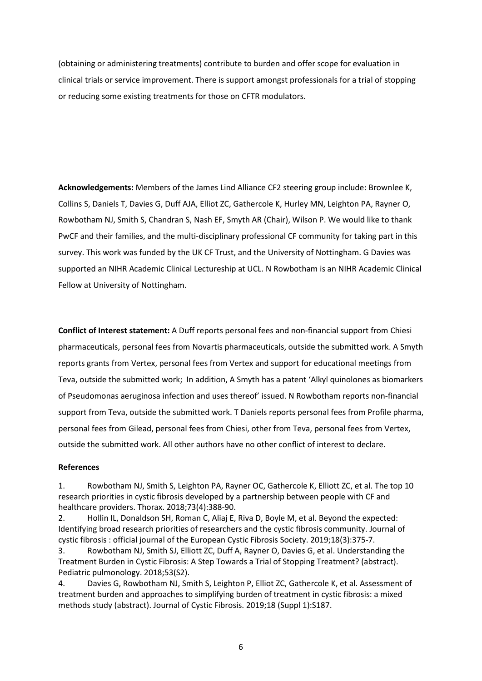(obtaining or administering treatments) contribute to burden and offer scope for evaluation in clinical trials or service improvement. There is support amongst professionals for a trial of stopping or reducing some existing treatments for those on CFTR modulators.

**Acknowledgements:** Members of the James Lind Alliance CF2 steering group include: Brownlee K, Collins S, Daniels T, Davies G, Duff AJA, Elliot ZC, Gathercole K, Hurley MN, Leighton PA, Rayner O, Rowbotham NJ, Smith S, Chandran S, Nash EF, Smyth AR (Chair), Wilson P. We would like to thank PwCF and their families, and the multi-disciplinary professional CF community for taking part in this survey. This work was funded by the UK CF Trust, and the University of Nottingham. G Davies was supported an NIHR Academic Clinical Lectureship at UCL. N Rowbotham is an NIHR Academic Clinical Fellow at University of Nottingham.

**Conflict of Interest statement:** A Duff reports personal fees and non-financial support from Chiesi pharmaceuticals, personal fees from Novartis pharmaceuticals, outside the submitted work. A Smyth reports grants from Vertex, personal fees from Vertex and support for educational meetings from Teva, outside the submitted work; In addition, A Smyth has a patent 'Alkyl quinolones as biomarkers of Pseudomonas aeruginosa infection and uses thereof' issued. N Rowbotham reports non-financial support from Teva, outside the submitted work. T Daniels reports personal fees from Profile pharma, personal fees from Gilead, personal fees from Chiesi, other from Teva, personal fees from Vertex, outside the submitted work. All other authors have no other conflict of interest to declare.

#### **References**

1. Rowbotham NJ, Smith S, Leighton PA, Rayner OC, Gathercole K, Elliott ZC, et al. The top 10 research priorities in cystic fibrosis developed by a partnership between people with CF and healthcare providers. Thorax. 2018;73(4):388-90.

2. Hollin IL, Donaldson SH, Roman C, Aliaj E, Riva D, Boyle M, et al. Beyond the expected: Identifying broad research priorities of researchers and the cystic fibrosis community. Journal of cystic fibrosis : official journal of the European Cystic Fibrosis Society. 2019;18(3):375-7.

3. Rowbotham NJ, Smith SJ, Elliott ZC, Duff A, Rayner O, Davies G, et al. Understanding the Treatment Burden in Cystic Fibrosis: A Step Towards a Trial of Stopping Treatment? (abstract). Pediatric pulmonology. 2018;53(S2).

4. Davies G, Rowbotham NJ, Smith S, Leighton P, Elliot ZC, Gathercole K, et al. Assessment of treatment burden and approaches to simplifying burden of treatment in cystic fibrosis: a mixed methods study (abstract). Journal of Cystic Fibrosis. 2019;18 (Suppl 1):S187.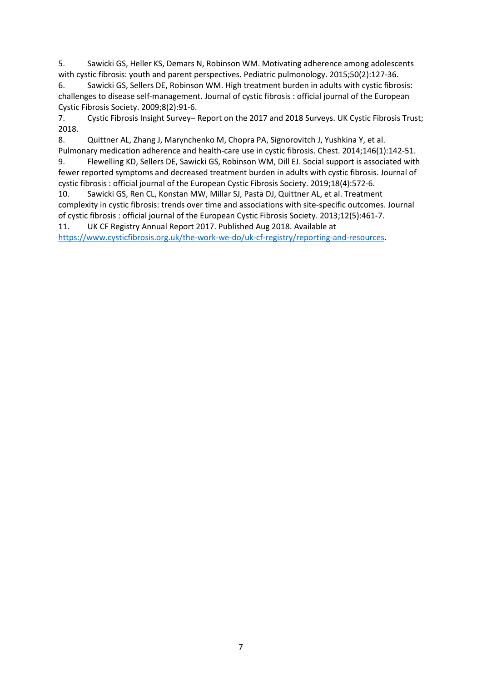5. Sawicki GS, Heller KS, Demars N, Robinson WM. Motivating adherence among adolescents with cystic fibrosis: youth and parent perspectives. Pediatric pulmonology. 2015;50(2):127-36.

6. Sawicki GS, Sellers DE, Robinson WM. High treatment burden in adults with cystic fibrosis: challenges to disease self-management. Journal of cystic fibrosis : official journal of the European Cystic Fibrosis Society. 2009;8(2):91-6.

7. Cystic Fibrosis Insight Survey– Report on the 2017 and 2018 Surveys. UK Cystic Fibrosis Trust; 2018.

8. Quittner AL, Zhang J, Marynchenko M, Chopra PA, Signorovitch J, Yushkina Y, et al. Pulmonary medication adherence and health-care use in cystic fibrosis. Chest. 2014;146(1):142-51.

9. Flewelling KD, Sellers DE, Sawicki GS, Robinson WM, Dill EJ. Social support is associated with fewer reported symptoms and decreased treatment burden in adults with cystic fibrosis. Journal of cystic fibrosis : official journal of the European Cystic Fibrosis Society. 2019;18(4):572-6.

10. Sawicki GS, Ren CL, Konstan MW, Millar SJ, Pasta DJ, Quittner AL, et al. Treatment complexity in cystic fibrosis: trends over time and associations with site-specific outcomes. Journal of cystic fibrosis : official journal of the European Cystic Fibrosis Society. 2013;12(5):461-7.

11. UK CF Registry Annual Report 2017. Published Aug 2018. Available at https://www.cysticfibrosis.org.uk/the-work-we-do/uk-cf-registry/reporting-and-resources.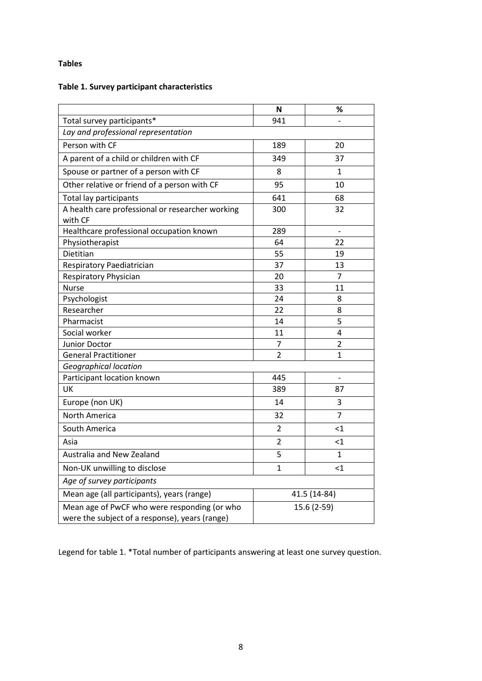## **Tables**

# **Table 1. Survey participant characteristics**

|                                                                                                | N              | %                    |  |  |
|------------------------------------------------------------------------------------------------|----------------|----------------------|--|--|
| Total survey participants*                                                                     | 941            |                      |  |  |
| Lay and professional representation                                                            |                |                      |  |  |
| Person with CF                                                                                 | 189            | 20                   |  |  |
| A parent of a child or children with CF                                                        | 349            | 37                   |  |  |
| Spouse or partner of a person with CF                                                          | 8              | 1                    |  |  |
| Other relative or friend of a person with CF                                                   | 95             | 10                   |  |  |
| <b>Total lay participants</b>                                                                  | 641            | 68                   |  |  |
| A health care professional or researcher working<br>with CF                                    | 300            | 32                   |  |  |
| Healthcare professional occupation known                                                       | 289            | $\blacksquare$       |  |  |
| Physiotherapist                                                                                | 64             | 22                   |  |  |
| Dietitian                                                                                      | 55             | 19                   |  |  |
| Respiratory Paediatrician                                                                      | 37             | 13                   |  |  |
| Respiratory Physician                                                                          | 20             | $\overline{7}$       |  |  |
| <b>Nurse</b>                                                                                   | 33             | 11                   |  |  |
| Psychologist                                                                                   | 24             | 8                    |  |  |
| Researcher                                                                                     | 22             | 8                    |  |  |
| Pharmacist                                                                                     | 14             | 5                    |  |  |
| Social worker                                                                                  | 11             | 4                    |  |  |
| <b>Junior Doctor</b>                                                                           | 7              | $\overline{2}$       |  |  |
| <b>General Practitioner</b>                                                                    | $\overline{2}$ | $\mathbf{1}$         |  |  |
| Geographical location                                                                          |                |                      |  |  |
| Participant location known                                                                     | 445            | $\qquad \qquad \Box$ |  |  |
| UK                                                                                             | 389            | 87                   |  |  |
| Europe (non UK)                                                                                | 14             | 3                    |  |  |
| <b>North America</b>                                                                           | 32             | $\overline{7}$       |  |  |
| South America                                                                                  | $\overline{2}$ | $<$ 1                |  |  |
| Asia                                                                                           | $\overline{2}$ | <1                   |  |  |
| Australia and New Zealand                                                                      | 5              | 1                    |  |  |
| Non-UK unwilling to disclose                                                                   | $\mathbf{1}$   | $<$ 1                |  |  |
| Age of survey participants                                                                     |                |                      |  |  |
| Mean age (all participants), years (range)                                                     | 41.5 (14-84)   |                      |  |  |
| Mean age of PwCF who were responding (or who<br>were the subject of a response), years (range) | 15.6 (2-59)    |                      |  |  |

Legend for table 1. \*Total number of participants answering at least one survey question.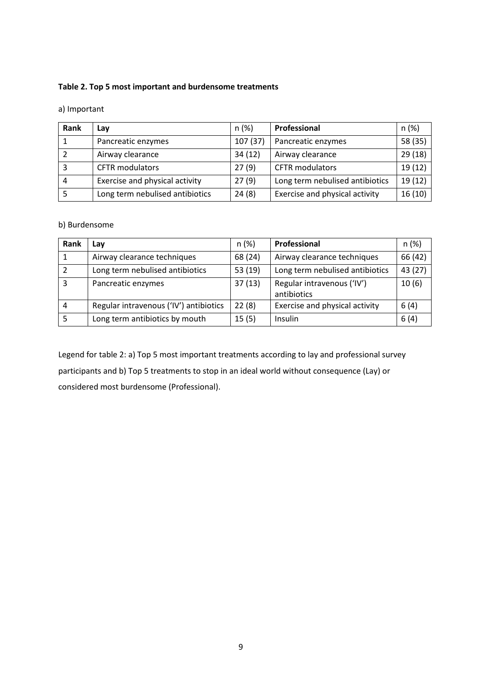### **Table 2. Top 5 most important and burdensome treatments**

a) Important

| Rank | Lav                             | n(%)    | Professional                    | n(%)    |
|------|---------------------------------|---------|---------------------------------|---------|
|      | Pancreatic enzymes              | 107(37) | Pancreatic enzymes              | 58 (35) |
|      | Airway clearance                | 34(12)  | Airway clearance                | 29 (18) |
|      | <b>CFTR</b> modulators          | 27(9)   | <b>CFTR</b> modulators          | 19(12)  |
| 4    | Exercise and physical activity  | 27(9)   | Long term nebulised antibiotics | 19(12)  |
|      | Long term nebulised antibiotics | 24(8)   | Exercise and physical activity  | 16(10)  |

b) Burdensome

| Rank | Lay                                    | n(%)    | Professional                              | n (%)   |
|------|----------------------------------------|---------|-------------------------------------------|---------|
|      | Airway clearance techniques            | 68 (24) | Airway clearance techniques               | 66 (42) |
|      | Long term nebulised antibiotics        | 53(19)  | Long term nebulised antibiotics           | 43 (27) |
| 3    | Pancreatic enzymes                     | 37(13)  | Regular intravenous ('IV')<br>antibiotics | 10(6)   |
|      | Regular intravenous ('IV') antibiotics | 22(8)   | Exercise and physical activity            | 6(4)    |
| 5    | Long term antibiotics by mouth         | 15(5)   | Insulin                                   | 6(4)    |

Legend for table 2: a) Top 5 most important treatments according to lay and professional survey participants and b) Top 5 treatments to stop in an ideal world without consequence (Lay) or considered most burdensome (Professional).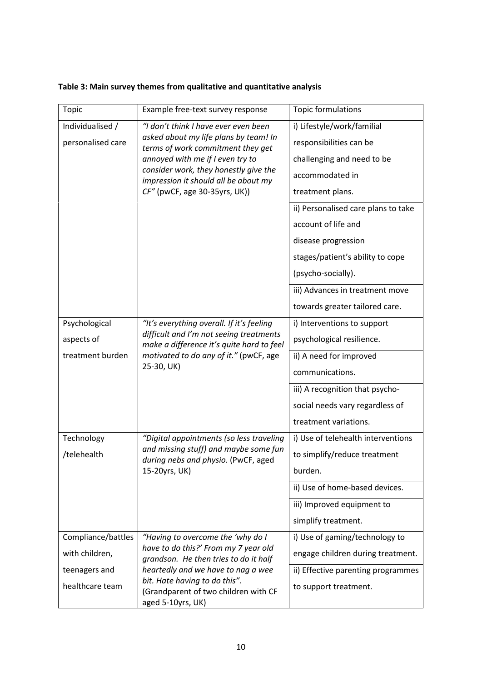| Table 3: Main survey themes from qualitative and quantitative analysis |  |  |
|------------------------------------------------------------------------|--|--|
|                                                                        |  |  |

| <b>Topic</b>       | Example free-text survey response                                                                                                            | Topic formulations                  |  |
|--------------------|----------------------------------------------------------------------------------------------------------------------------------------------|-------------------------------------|--|
| Individualised /   | "I don't think I have ever even been                                                                                                         | i) Lifestyle/work/familial          |  |
| personalised care  | asked about my life plans by team! In<br>terms of work commitment they get                                                                   | responsibilities can be             |  |
|                    | annoyed with me if I even try to<br>consider work, they honestly give the<br>impression it should all be about my                            | challenging and need to be          |  |
|                    |                                                                                                                                              | accommodated in                     |  |
|                    | CF" (pwCF, age 30-35yrs, UK))                                                                                                                | treatment plans.                    |  |
|                    |                                                                                                                                              | ii) Personalised care plans to take |  |
|                    |                                                                                                                                              | account of life and                 |  |
|                    |                                                                                                                                              | disease progression                 |  |
|                    |                                                                                                                                              | stages/patient's ability to cope    |  |
|                    |                                                                                                                                              | (psycho-socially).                  |  |
|                    |                                                                                                                                              | iii) Advances in treatment move     |  |
|                    |                                                                                                                                              | towards greater tailored care.      |  |
| Psychological      | "It's everything overall. If it's feeling                                                                                                    | i) Interventions to support         |  |
| aspects of         | difficult and I'm not seeing treatments<br>make a difference it's quite hard to feel<br>motivated to do any of it." (pwCF, age<br>25-30, UK) | psychological resilience.           |  |
| treatment burden   |                                                                                                                                              | ii) A need for improved             |  |
|                    |                                                                                                                                              | communications.                     |  |
|                    |                                                                                                                                              | iii) A recognition that psycho-     |  |
|                    |                                                                                                                                              | social needs vary regardless of     |  |
|                    |                                                                                                                                              | treatment variations.               |  |
| Technology         | "Digital appointments (so less traveling                                                                                                     | i) Use of telehealth interventions  |  |
| /telehealth        | and missing stuff) and maybe some fun<br>during nebs and physio. (PwCF, aged                                                                 | to simplify/reduce treatment        |  |
|                    | 15-20yrs, UK)                                                                                                                                | burden.                             |  |
|                    |                                                                                                                                              | ii) Use of home-based devices.      |  |
|                    |                                                                                                                                              | iii) Improved equipment to          |  |
|                    |                                                                                                                                              | simplify treatment.                 |  |
| Compliance/battles | "Having to overcome the 'why do I                                                                                                            | i) Use of gaming/technology to      |  |
| with children,     | have to do this?' From my 7 year old<br>grandson. He then tries to do it half                                                                | engage children during treatment.   |  |
| teenagers and      | heartedly and we have to nag a wee                                                                                                           | ii) Effective parenting programmes  |  |
| healthcare team    | bit. Hate having to do this".<br>(Grandparent of two children with CF<br>aged 5-10yrs, UK)                                                   | to support treatment.               |  |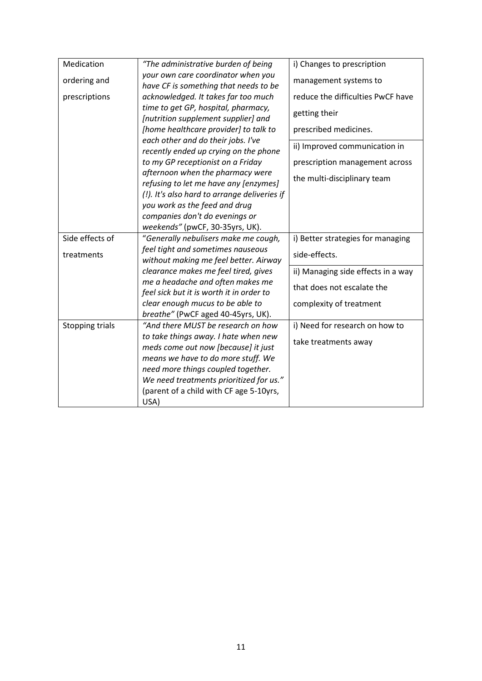| Medication      | "The administrative burden of being                                          | i) Changes to prescription         |
|-----------------|------------------------------------------------------------------------------|------------------------------------|
| ordering and    | your own care coordinator when you<br>have CF is something that needs to be  | management systems to              |
| prescriptions   | acknowledged. It takes far too much                                          | reduce the difficulties PwCF have  |
|                 | time to get GP, hospital, pharmacy,<br>[nutrition supplement supplier] and   | getting their                      |
|                 | [home healthcare provider] to talk to                                        | prescribed medicines.              |
|                 | each other and do their jobs. I've<br>recently ended up crying on the phone  | ii) Improved communication in      |
|                 | to my GP receptionist on a Friday                                            | prescription management across     |
|                 | afternoon when the pharmacy were<br>refusing to let me have any [enzymes]    | the multi-disciplinary team        |
|                 | (!). It's also hard to arrange deliveries if                                 |                                    |
|                 | you work as the feed and drug                                                |                                    |
|                 | companies don't do evenings or                                               |                                    |
| Side effects of | weekends" (pwCF, 30-35yrs, UK).                                              |                                    |
|                 | "Generally nebulisers make me cough,                                         | i) Better strategies for managing  |
| treatments      | feel tight and sometimes nauseous<br>without making me feel better. Airway   | side-effects.                      |
|                 | clearance makes me feel tired, gives                                         | ii) Managing side effects in a way |
|                 | me a headache and often makes me<br>feel sick but it is worth it in order to | that does not escalate the         |
|                 | clear enough mucus to be able to<br>breathe" (PwCF aged 40-45yrs, UK).       | complexity of treatment            |
| Stopping trials | "And there MUST be research on how                                           | i) Need for research on how to     |
|                 | to take things away. I hate when new<br>meds come out now [because] it just  | take treatments away               |
|                 | means we have to do more stuff. We                                           |                                    |
|                 | need more things coupled together.                                           |                                    |
|                 | We need treatments prioritized for us."                                      |                                    |
|                 | (parent of a child with CF age 5-10yrs,<br>USA)                              |                                    |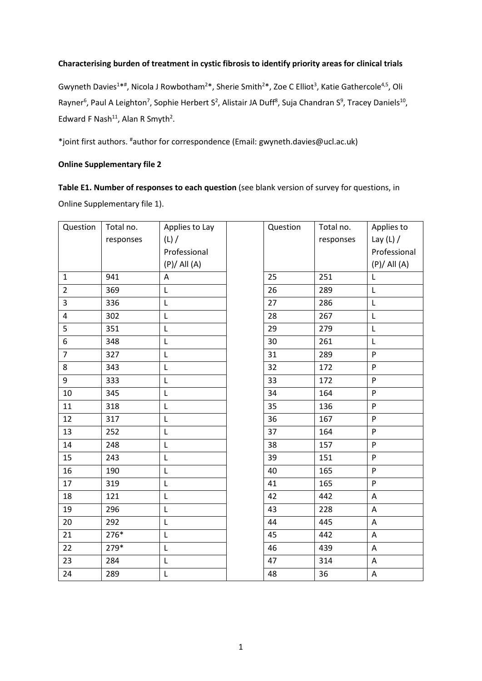### **Characterising burden of treatment in cystic fibrosis to identify priority areas for clinical trials**

Gwyneth Davies<sup>1\*#</sup>, Nicola J Rowbotham<sup>2\*</sup>, Sherie Smith<sup>2\*</sup>, Zoe C Elliot<sup>3</sup>, Katie Gathercole<sup>4,5</sup>, Oli Rayner<sup>6</sup>, Paul A Leighton<sup>7</sup>, Sophie Herbert S<sup>2</sup>, Alistair JA Duff<sup>8</sup>, Suja Chandran S<sup>9</sup>, Tracey Daniels<sup>10</sup>, Edward F Nash<sup>11</sup>, Alan R Smyth<sup>2</sup>.

\*joint first authors. #author for correspondence (Email: gwyneth.davies@ucl.ac.uk)

## **Online Supplementary file 2**

**Table E1. Number of responses to each question** (see blank version of survey for questions, in Online Supplementary file 1).

| Question       | Total no. | Applies to Lay   | Question | Total no. | Applies to                |
|----------------|-----------|------------------|----------|-----------|---------------------------|
|                | responses | (L) /            |          | responses | Lay $(L)$ /               |
|                |           | Professional     |          |           | Professional              |
|                |           | $(P)/$ All $(A)$ |          |           | $(P)/$ All $(A)$          |
| $\mathbf{1}$   | 941       | A                | 25       | 251       | $\mathsf{L}$              |
| $\overline{2}$ | 369       | $\mathsf L$      | 26       | 289       | $\mathsf L$               |
| 3              | 336       | L                | 27       | 286       | $\mathsf L$               |
| $\overline{4}$ | 302       | L                | 28       | 267       | L                         |
| 5              | 351       | L                | 29       | 279       | $\mathsf L$               |
| 6              | 348       | L                | 30       | 261       | L                         |
| $\overline{7}$ | 327       | $\mathsf L$      | 31       | 289       | ${\sf P}$                 |
| 8              | 343       | L                | 32       | 172       | P                         |
| 9              | 333       | L                | 33       | 172       | P                         |
| 10             | 345       | $\mathsf L$      | 34       | 164       | ${\sf P}$                 |
| 11             | 318       | $\mathsf L$      | 35       | 136       | P                         |
| 12             | 317       | L                | 36       | 167       | P                         |
| 13             | 252       | $\mathsf L$      | 37       | 164       | P                         |
| 14             | 248       | L                | 38       | 157       | P                         |
| 15             | 243       | L                | 39       | 151       | P                         |
| 16             | 190       | $\mathsf L$      | 40       | 165       | ${\sf P}$                 |
| 17             | 319       | $\mathsf L$      | 41       | 165       | P                         |
| 18             | 121       | L                | 42       | 442       | $\boldsymbol{\mathsf{A}}$ |
| 19             | 296       | L                | 43       | 228       | $\mathsf{A}$              |
| 20             | 292       | L                | 44       | 445       | A                         |
| 21             | 276*      | L                | 45       | 442       | A                         |
| 22             | 279*      | L                | 46       | 439       | A                         |
| 23             | 284       | L                | 47       | 314       | A                         |
| 24             | 289       | L                | 48       | 36        | A                         |